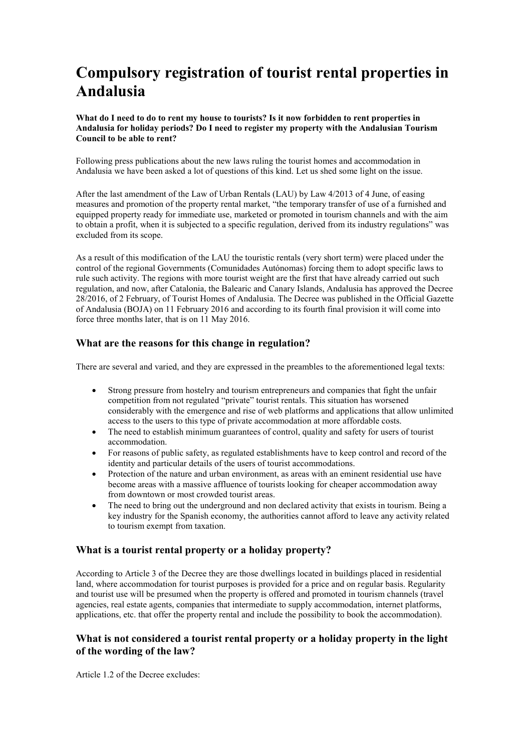# **Compulsory registration of tourist rental properties in Andalusia**

**What do I need to do to rent my house to tourists? Is it now forbidden to rent properties in Andalusia for holiday periods? Do I need to register my property with the Andalusian Tourism Council to be able to rent?**

Following press publications about the new laws ruling the tourist homes and accommodation in Andalusia we have been asked a lot of questions of this kind. Let us shed some light on the issue.

After the last amendment of the Law of Urban Rentals (LAU) by Law 4/2013 of 4 June, of easing measures and promotion of the property rental market, "the temporary transfer of use of a furnished and equipped property ready for immediate use, marketed or promoted in tourism channels and with the aim to obtain a profit, when it is subjected to a specific regulation, derived from its industry regulations" was excluded from its scope.

As a result of this modification of the LAU the touristic rentals (very short term) were placed under the control of the regional Governments (Comunidades Autónomas) forcing them to adopt specific laws to rule such activity. The regions with more tourist weight are the first that have already carried out such regulation, and now, after Catalonia, the Balearic and Canary Islands, Andalusia has approved the Decree 28/2016, of 2 February, of Tourist Homes of Andalusia. The Decree was published in the Official Gazette of Andalusia (BOJA) on 11 February 2016 and according to its fourth final provision it will come into force three months later, that is on 11 May 2016.

# **What are the reasons for this change in regulation?**

There are several and varied, and they are expressed in the preambles to the aforementioned legal texts:

- Strong pressure from hostelry and tourism entrepreneurs and companies that fight the unfair competition from not regulated "private" tourist rentals. This situation has worsened considerably with the emergence and rise of web platforms and applications that allow unlimited access to the users to this type of private accommodation at more affordable costs.
- The need to establish minimum guarantees of control, quality and safety for users of tourist accommodation.
- For reasons of public safety, as regulated establishments have to keep control and record of the identity and particular details of the users of tourist accommodations.
- Protection of the nature and urban environment, as areas with an eminent residential use have become areas with a massive affluence of tourists looking for cheaper accommodation away from downtown or most crowded tourist areas.
- The need to bring out the underground and non declared activity that exists in tourism. Being a key industry for the Spanish economy, the authorities cannot afford to leave any activity related to tourism exempt from taxation.

## **What is a tourist rental property or a holiday property?**

According to Article 3 of the Decree they are those dwellings located in buildings placed in residential land, where accommodation for tourist purposes is provided for a price and on regular basis. Regularity and tourist use will be presumed when the property is offered and promoted in tourism channels (travel agencies, real estate agents, companies that intermediate to supply accommodation, internet platforms, applications, etc. that offer the property rental and include the possibility to book the accommodation).

# **What is not considered a tourist rental property or a holiday property in the light of the wording of the law?**

Article 1.2 of the Decree excludes: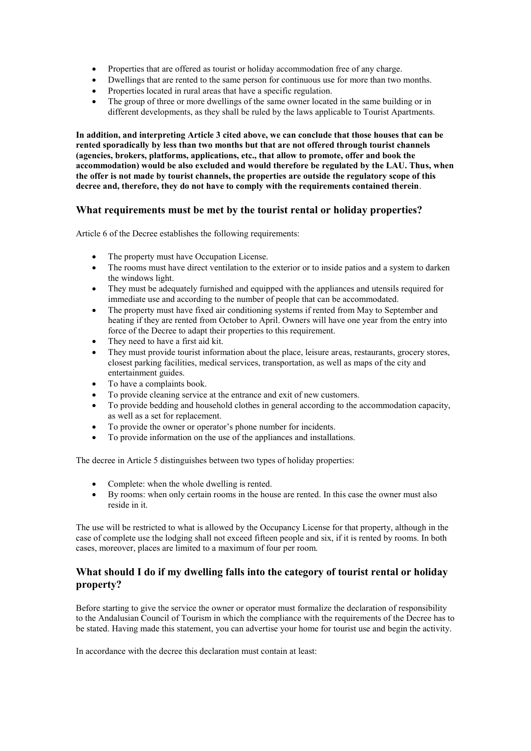- Properties that are offered as tourist or holiday accommodation free of any charge.
- Dwellings that are rented to the same person for continuous use for more than two months.
- Properties located in rural areas that have a specific regulation.
- The group of three or more dwellings of the same owner located in the same building or in different developments, as they shall be ruled by the laws applicable to Tourist Apartments.

**In addition, and interpreting Article 3 cited above, we can conclude that those houses that can be rented sporadically by less than two months but that are not offered through tourist channels (agencies, brokers, platforms, applications, etc., that allow to promote, offer and book the accommodation) would be also excluded and would therefore be regulated by the LAU. Thus, when the offer is not made by tourist channels, the properties are outside the regulatory scope of this decree and, therefore, they do not have to comply with the requirements contained therein**.

## **What requirements must be met by the tourist rental or holiday properties?**

Article 6 of the Decree establishes the following requirements:

- The property must have Occupation License.
- The rooms must have direct ventilation to the exterior or to inside patios and a system to darken the windows light.
- They must be adequately furnished and equipped with the appliances and utensils required for immediate use and according to the number of people that can be accommodated.
- The property must have fixed air conditioning systems if rented from May to September and heating if they are rented from October to April. Owners will have one year from the entry into force of the Decree to adapt their properties to this requirement.
- They need to have a first aid kit.
- They must provide tourist information about the place, leisure areas, restaurants, grocery stores, closest parking facilities, medical services, transportation, as well as maps of the city and entertainment guides.
- To have a complaints book.
- To provide cleaning service at the entrance and exit of new customers.
- To provide bedding and household clothes in general according to the accommodation capacity, as well as a set for replacement.
- To provide the owner or operator's phone number for incidents.
- To provide information on the use of the appliances and installations.

The decree in Article 5 distinguishes between two types of holiday properties:

- Complete: when the whole dwelling is rented.
- By rooms: when only certain rooms in the house are rented. In this case the owner must also reside in it.

The use will be restricted to what is allowed by the Occupancy License for that property, although in the case of complete use the lodging shall not exceed fifteen people and six, if it is rented by rooms. In both cases, moreover, places are limited to a maximum of four per room.

## **What should I do if my dwelling falls into the category of tourist rental or holiday property?**

Before starting to give the service the owner or operator must formalize the declaration of responsibility to the Andalusian Council of Tourism in which the compliance with the requirements of the Decree has to be stated. Having made this statement, you can advertise your home for tourist use and begin the activity.

In accordance with the decree this declaration must contain at least: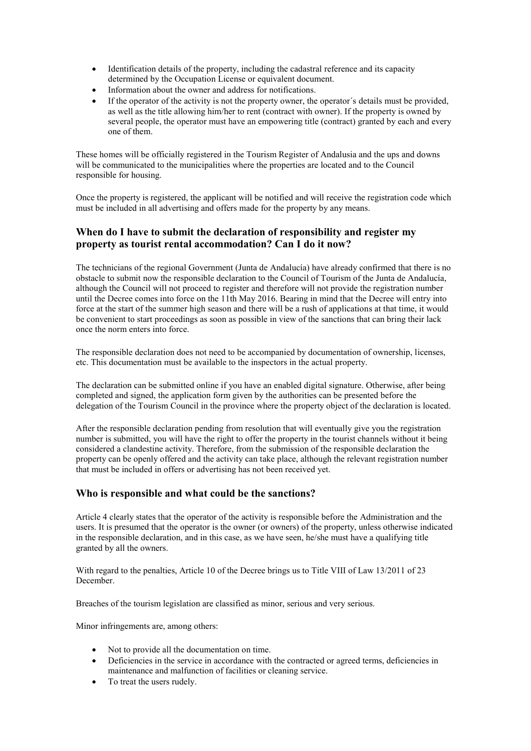- Identification details of the property, including the cadastral reference and its capacity determined by the Occupation License or equivalent document.
- Information about the owner and address for notifications.
- If the operator of the activity is not the property owner, the operator's details must be provided, as well as the title allowing him/her to rent (contract with owner). If the property is owned by several people, the operator must have an empowering title (contract) granted by each and every one of them.

These homes will be officially registered in the Tourism Register of Andalusia and the ups and downs will be communicated to the municipalities where the properties are located and to the Council responsible for housing.

Once the property is registered, the applicant will be notified and will receive the registration code which must be included in all advertising and offers made for the property by any means.

# **When do I have to submit the declaration of responsibility and register my property as tourist rental accommodation? Can I do it now?**

The technicians of the regional Government (Junta de Andalucía) have already confirmed that there is no obstacle to submit now the responsible declaration to the Council of Tourism of the Junta de Andalucía, although the Council will not proceed to register and therefore will not provide the registration number until the Decree comes into force on the 11th May 2016. Bearing in mind that the Decree will entry into force at the start of the summer high season and there will be a rush of applications at that time, it would be convenient to start proceedings as soon as possible in view of the sanctions that can bring their lack once the norm enters into force.

The responsible declaration does not need to be accompanied by documentation of ownership, licenses, etc. This documentation must be available to the inspectors in the actual property.

The declaration can be submitted online if you have an enabled digital signature. Otherwise, after being completed and signed, the application form given by the authorities can be presented before the delegation of the Tourism Council in the province where the property object of the declaration is located.

After the responsible declaration pending from resolution that will eventually give you the registration number is submitted, you will have the right to offer the property in the tourist channels without it being considered a clandestine activity. Therefore, from the submission of the responsible declaration the property can be openly offered and the activity can take place, although the relevant registration number that must be included in offers or advertising has not been received yet.

## **Who is responsible and what could be the sanctions?**

Article 4 clearly states that the operator of the activity is responsible before the Administration and the users. It is presumed that the operator is the owner (or owners) of the property, unless otherwise indicated in the responsible declaration, and in this case, as we have seen, he/she must have a qualifying title granted by all the owners.

With regard to the penalties, Article 10 of the Decree brings us to Title VIII of Law 13/2011 of 23 December.

Breaches of the tourism legislation are classified as minor, serious and very serious.

Minor infringements are, among others:

- Not to provide all the documentation on time.
- Deficiencies in the service in accordance with the contracted or agreed terms, deficiencies in maintenance and malfunction of facilities or cleaning service.
- To treat the users rudely.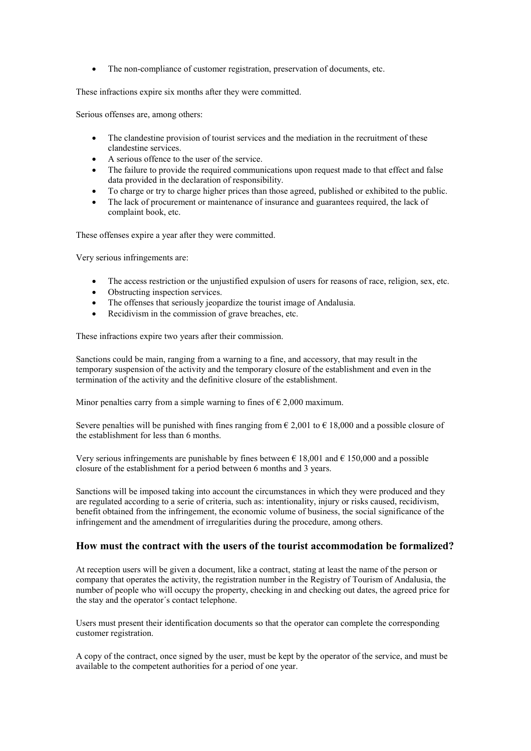The non-compliance of customer registration, preservation of documents, etc.

These infractions expire six months after they were committed.

Serious offenses are, among others:

- The clandestine provision of tourist services and the mediation in the recruitment of these clandestine services.
- A serious offence to the user of the service.
- The failure to provide the required communications upon request made to that effect and false data provided in the declaration of responsibility.
- To charge or try to charge higher prices than those agreed, published or exhibited to the public.
- The lack of procurement or maintenance of insurance and guarantees required, the lack of complaint book, etc.

These offenses expire a year after they were committed.

Very serious infringements are:

- The access restriction or the unjustified expulsion of users for reasons of race, religion, sex, etc.
- Obstructing inspection services.
- The offenses that seriously jeopardize the tourist image of Andalusia.
- Recidivism in the commission of grave breaches, etc.

These infractions expire two years after their commission.

Sanctions could be main, ranging from a warning to a fine, and accessory, that may result in the temporary suspension of the activity and the temporary closure of the establishment and even in the termination of the activity and the definitive closure of the establishment.

Minor penalties carry from a simple warning to fines of  $\epsilon$  2,000 maximum.

Severe penalties will be punished with fines ranging from  $\epsilon$  2,001 to  $\epsilon$  18,000 and a possible closure of the establishment for less than 6 months.

Very serious infringements are punishable by fines between  $\epsilon$  18,001 and  $\epsilon$  150,000 and a possible closure of the establishment for a period between 6 months and 3 years.

Sanctions will be imposed taking into account the circumstances in which they were produced and they are regulated according to a serie of criteria, such as: intentionality, injury or risks caused, recidivism, benefit obtained from the infringement, the economic volume of business, the social significance of the infringement and the amendment of irregularities during the procedure, among others.

#### **How must the contract with the users of the tourist accommodation be formalized?**

At reception users will be given a document, like a contract, stating at least the name of the person or company that operates the activity, the registration number in the Registry of Tourism of Andalusia, the number of people who will occupy the property, checking in and checking out dates, the agreed price for the stay and the operator´s contact telephone.

Users must present their identification documents so that the operator can complete the corresponding customer registration.

A copy of the contract, once signed by the user, must be kept by the operator of the service, and must be available to the competent authorities for a period of one year.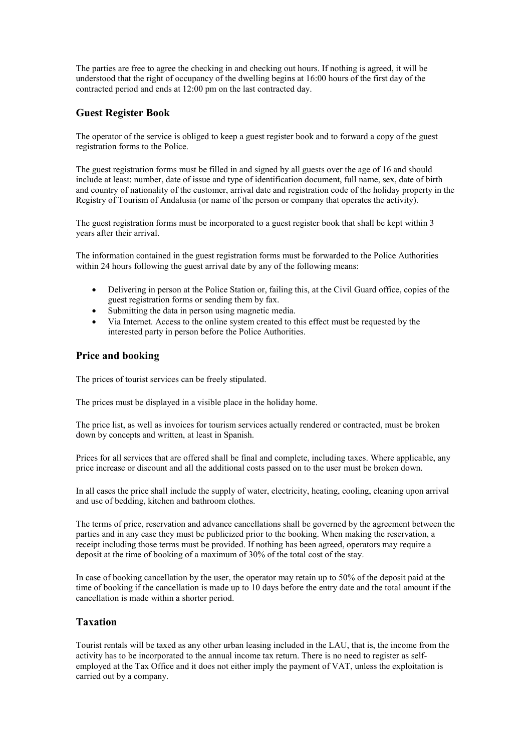The parties are free to agree the checking in and checking out hours. If nothing is agreed, it will be understood that the right of occupancy of the dwelling begins at 16:00 hours of the first day of the contracted period and ends at 12:00 pm on the last contracted day.

# **Guest Register Book**

The operator of the service is obliged to keep a guest register book and to forward a copy of the guest registration forms to the Police.

The guest registration forms must be filled in and signed by all guests over the age of 16 and should include at least: number, date of issue and type of identification document, full name, sex, date of birth and country of nationality of the customer, arrival date and registration code of the holiday property in the Registry of Tourism of Andalusia (or name of the person or company that operates the activity).

The guest registration forms must be incorporated to a guest register book that shall be kept within 3 years after their arrival.

The information contained in the guest registration forms must be forwarded to the Police Authorities within 24 hours following the guest arrival date by any of the following means:

- Delivering in person at the Police Station or, failing this, at the Civil Guard office, copies of the guest registration forms or sending them by fax.
- Submitting the data in person using magnetic media.
- Via Internet. Access to the online system created to this effect must be requested by the interested party in person before the Police Authorities.

## **Price and booking**

The prices of tourist services can be freely stipulated.

The prices must be displayed in a visible place in the holiday home.

The price list, as well as invoices for tourism services actually rendered or contracted, must be broken down by concepts and written, at least in Spanish.

Prices for all services that are offered shall be final and complete, including taxes. Where applicable, any price increase or discount and all the additional costs passed on to the user must be broken down.

In all cases the price shall include the supply of water, electricity, heating, cooling, cleaning upon arrival and use of bedding, kitchen and bathroom clothes.

The terms of price, reservation and advance cancellations shall be governed by the agreement between the parties and in any case they must be publicized prior to the booking. When making the reservation, a receipt including those terms must be provided. If nothing has been agreed, operators may require a deposit at the time of booking of a maximum of 30% of the total cost of the stay.

In case of booking cancellation by the user, the operator may retain up to 50% of the deposit paid at the time of booking if the cancellation is made up to 10 days before the entry date and the total amount if the cancellation is made within a shorter period.

#### **Taxation**

Tourist rentals will be taxed as any other urban leasing included in the LAU, that is, the income from the activity has to be incorporated to the annual income tax return. There is no need to register as selfemployed at the Tax Office and it does not either imply the payment of VAT, unless the exploitation is carried out by a company.